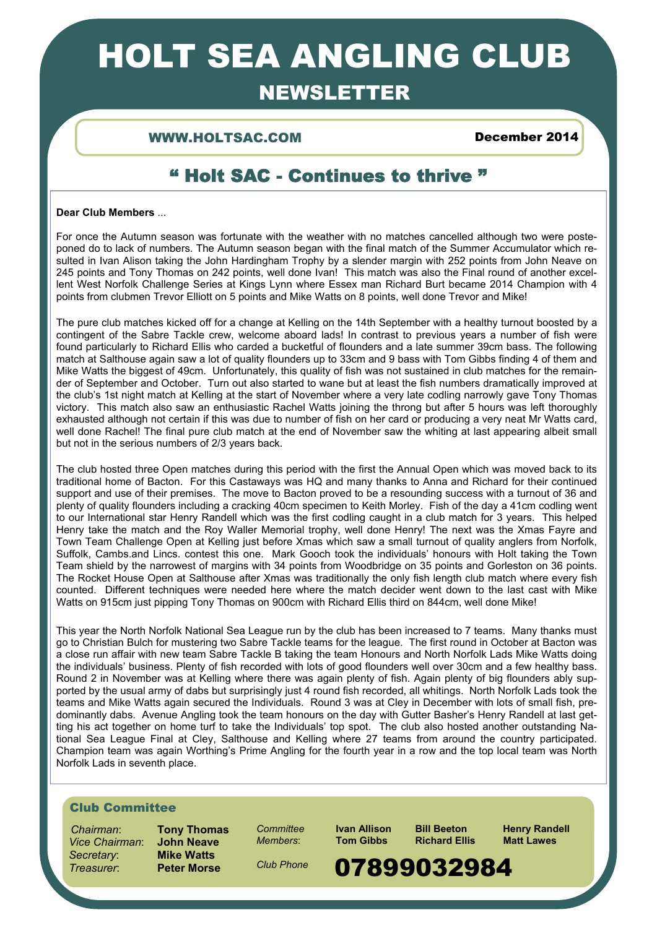# HOLT SEA ANGLING CLUB

# NEWSLETTER

WWW.HOLTSAC.COM December 2014

### " Holt SAC - Continues to thrive "

#### **Dear Club Members** ...

For once the Autumn season was fortunate with the weather with no matches cancelled although two were posteponed do to lack of numbers. The Autumn season began with the final match of the Summer Accumulator which resulted in Ivan Alison taking the John Hardingham Trophy by a slender margin with 252 points from John Neave on 245 points and Tony Thomas on 242 points, well done Ivan! This match was also the Final round of another excellent West Norfolk Challenge Series at Kings Lynn where Essex man Richard Burt became 2014 Champion with 4 points from clubmen Trevor Elliott on 5 points and Mike Watts on 8 points, well done Trevor and Mike!

The pure club matches kicked off for a change at Kelling on the 14th September with a healthy turnout boosted by a contingent of the Sabre Tackle crew, welcome aboard lads! In contrast to previous years a number of fish were found particularly to Richard Ellis who carded a bucketful of flounders and a late summer 39cm bass. The following match at Salthouse again saw a lot of quality flounders up to 33cm and 9 bass with Tom Gibbs finding 4 of them and Mike Watts the biggest of 49cm. Unfortunately, this quality of fish was not sustained in club matches for the remainder of September and October. Turn out also started to wane but at least the fish numbers dramatically improved at the club's 1st night match at Kelling at the start of November where a very late codling narrowly gave Tony Thomas victory. This match also saw an enthusiastic Rachel Watts joining the throng but after 5 hours was left thoroughly exhausted although not certain if this was due to number of fish on her card or producing a very neat Mr Watts card, well done Rachel! The final pure club match at the end of November saw the whiting at last appearing albeit small but not in the serious numbers of 2/3 years back.

The club hosted three Open matches during this period with the first the Annual Open which was moved back to its traditional home of Bacton. For this Castaways was HQ and many thanks to Anna and Richard for their continued support and use of their premises. The move to Bacton proved to be a resounding success with a turnout of 36 and plenty of quality flounders including a cracking 40cm specimen to Keith Morley. Fish of the day a 41cm codling went to our International star Henry Randell which was the first codling caught in a club match for 3 years. This helped Henry take the match and the Roy Waller Memorial trophy, well done Henry! The next was the Xmas Fayre and Town Team Challenge Open at Kelling just before Xmas which saw a small turnout of quality anglers from Norfolk, Suffolk, Cambs.and Lincs. contest this one. Mark Gooch took the individuals' honours with Holt taking the Town Team shield by the narrowest of margins with 34 points from Woodbridge on 35 points and Gorleston on 36 points. The Rocket House Open at Salthouse after Xmas was traditionally the only fish length club match where every fish counted. Different techniques were needed here where the match decider went down to the last cast with Mike Watts on 915cm just pipping Tony Thomas on 900cm with Richard Ellis third on 844cm, well done Mike!

This year the North Norfolk National Sea League run by the club has been increased to 7 teams. Many thanks must go to Christian Bulch for mustering two Sabre Tackle teams for the league. The first round in October at Bacton was a close run affair with new team Sabre Tackle B taking the team Honours and North Norfolk Lads Mike Watts doing the individuals' business. Plenty of fish recorded with lots of good flounders well over 30cm and a few healthy bass. Round 2 in November was at Kelling where there was again plenty of fish. Again plenty of big flounders ably supported by the usual army of dabs but surprisingly just 4 round fish recorded, all whitings. North Norfolk Lads took the teams and Mike Watts again secured the Individuals. Round 3 was at Cley in December with lots of small fish, predominantly dabs. Avenue Angling took the team honours on the day with Gutter Basher's Henry Randell at last getting his act together on home turf to take the Individuals' top spot. The club also hosted another outstanding National Sea League Final at Cley, Salthouse and Kelling where 27 teams from around the country participated. Champion team was again Worthing's Prime Angling for the fourth year in a row and the top local team was North Norfolk Lads in seventh place.

### Club Committee

 *Chairman*: **Tony Thomas** *Vice Chairman*: **John Neave** *Secretary*: **Mike Watts**

Treasurer: **Peter Morse** Club Phone **07899032984** 

*Club Phone* 

1

**Committee Ivan Allison Bill Beeton Henry Randell**<br> *Members*: **Tom Gibbs Richard Fllis Matt Lawes** *Members*: **Tom Gibbs Richard Ellis Matt Lawes**